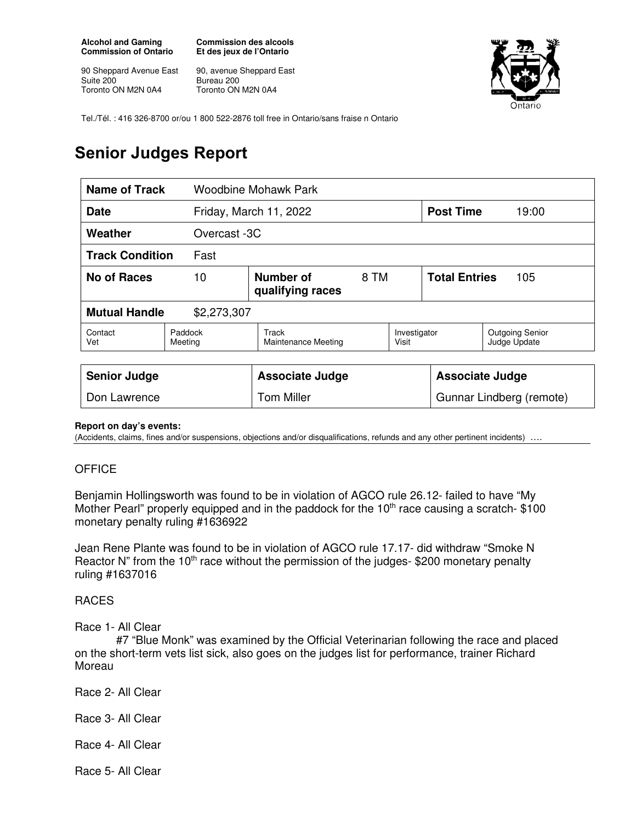**Alcohol and Gaming Commission of Ontario** 

90 Sheppard Avenue East Suite 200 Toronto ON M2N 0A4

**Commission des alcools Et des jeux de l'Ontario** 

90, avenue Sheppard East Bureau 200 Toronto ON M2N 0A4



Tel./Tél. : 416 326-8700 or/ou 1 800 522-2876 toll free in Ontario/sans fraise n Ontario

## **Senior Judges Report**

| Name of Track<br>Woodbine Mohawk Park |                                             |                                     |  |                             |       |                                        |
|---------------------------------------|---------------------------------------------|-------------------------------------|--|-----------------------------|-------|----------------------------------------|
| <b>Date</b>                           |                                             | Friday, March 11, 2022              |  | <b>Post Time</b>            | 19:00 |                                        |
| Weather                               | Overcast -3C                                |                                     |  |                             |       |                                        |
| <b>Track Condition</b><br>Fast        |                                             |                                     |  |                             |       |                                        |
| No of Races                           | Number of<br>8 TM<br>10<br>qualifying races |                                     |  | <b>Total Entries</b><br>105 |       |                                        |
| <b>Mutual Handle</b><br>\$2,273,307   |                                             |                                     |  |                             |       |                                        |
| Contact<br>Vet                        | Paddock<br>Meeting                          | Track<br><b>Maintenance Meeting</b> |  | Investigator<br>Visit       |       | <b>Outgoing Senior</b><br>Judge Update |
|                                       |                                             |                                     |  |                             |       |                                        |
| <b>Senior Judge</b>                   |                                             | <b>Associate Judge</b>              |  | <b>Associate Judge</b>      |       |                                        |
| Don Lawrence                          |                                             | Tom Miller                          |  | Gunnar Lindberg (remote)    |       |                                        |

## **Report on day's events:**

(Accidents, claims, fines and/or suspensions, objections and/or disqualifications, refunds and any other pertinent incidents) ….

## **OFFICE**

Benjamin Hollingsworth was found to be in violation of AGCO rule 26.12- failed to have "My Mother Pearl" properly equipped and in the paddock for the 10<sup>th</sup> race causing a scratch- \$100 monetary penalty ruling #1636922

Jean Rene Plante was found to be in violation of AGCO rule 17.17- did withdraw "Smoke N Reactor N" from the 10<sup>th</sup> race without the permission of the judges- \$200 monetary penalty ruling #1637016

## RACES

Race 1- All Clear

 #7 "Blue Monk" was examined by the Official Veterinarian following the race and placed on the short-term vets list sick, also goes on the judges list for performance, trainer Richard Moreau

Race 2- All Clear

Race 3- All Clear

Race 4- All Clear

Race 5- All Clear